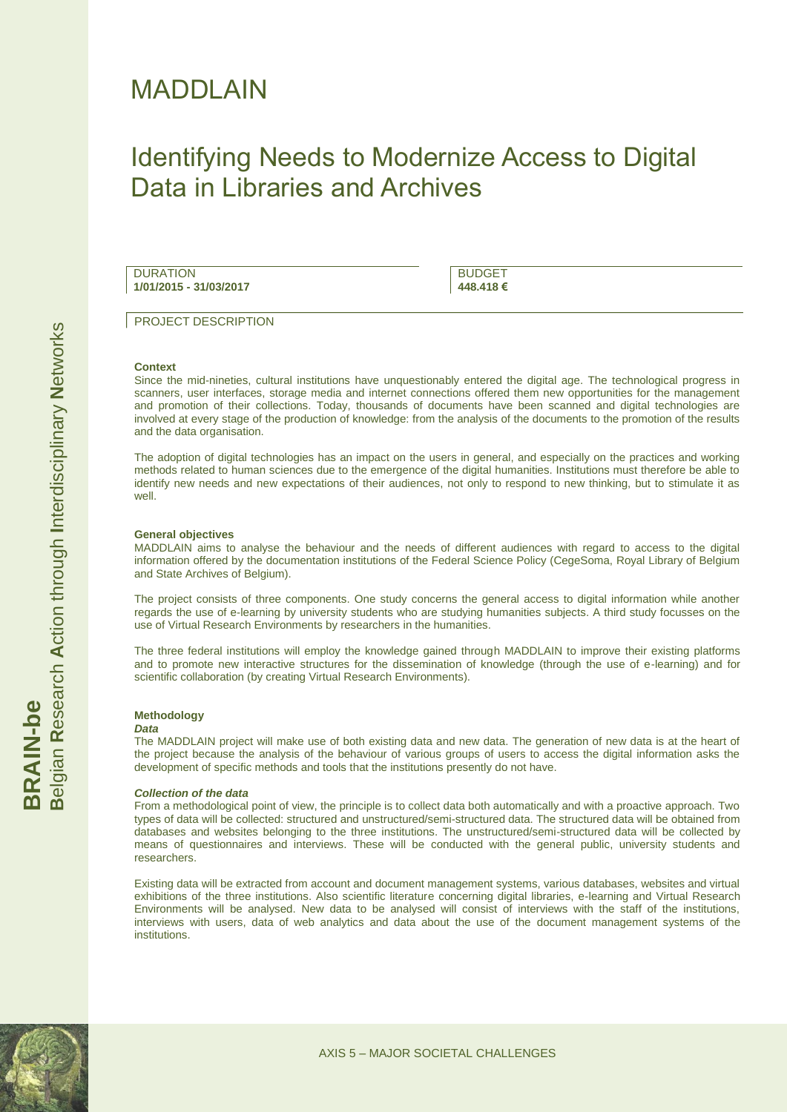# MADDLAIN

# Identifying Needs to Modernize Access to Digital Data in Libraries and Archives

**DURATION 1/01/2015 - 31/03/2017**

BUDGET **448.418 €**

PROJECT DESCRIPTION

#### **Context**

Since the mid-nineties, cultural institutions have unquestionably entered the digital age. The technological progress in scanners, user interfaces, storage media and internet connections offered them new opportunities for the management and promotion of their collections. Today, thousands of documents have been scanned and digital technologies are involved at every stage of the production of knowledge: from the analysis of the documents to the promotion of the results and the data organisation.

The adoption of digital technologies has an impact on the users in general, and especially on the practices and working methods related to human sciences due to the emergence of the digital humanities. Institutions must therefore be able to identify new needs and new expectations of their audiences, not only to respond to new thinking, but to stimulate it as well.

#### **General objectives**

MADDLAIN aims to analyse the behaviour and the needs of different audiences with regard to access to the digital information offered by the documentation institutions of the Federal Science Policy (CegeSoma, Royal Library of Belgium and State Archives of Belgium).

The project consists of three components. One study concerns the general access to digital information while another regards the use of e-learning by university students who are studying humanities subjects. A third study focusses on the use of Virtual Research Environments by researchers in the humanities.

The three federal institutions will employ the knowledge gained through MADDLAIN to improve their existing platforms and to promote new interactive structures for the dissemination of knowledge (through the use of e-learning) and for scientific collaboration (by creating Virtual Research Environments).

# **Methodology**

#### *Data*

The MADDLAIN project will make use of both existing data and new data. The generation of new data is at the heart of the project because the analysis of the behaviour of various groups of users to access the digital information asks the development of specific methods and tools that the institutions presently do not have.

#### *Collection of the data*

From a methodological point of view, the principle is to collect data both automatically and with a proactive approach. Two types of data will be collected: structured and unstructured/semi-structured data. The structured data will be obtained from databases and websites belonging to the three institutions. The unstructured/semi-structured data will be collected by means of questionnaires and interviews. These will be conducted with the general public, university students and researchers.

Existing data will be extracted from account and document management systems, various databases, websites and virtual exhibitions of the three institutions. Also scientific literature concerning digital libraries, e-learning and Virtual Research Environments will be analysed. New data to be analysed will consist of interviews with the staff of the institutions, interviews with users, data of web analytics and data about the use of the document management systems of the institutions.